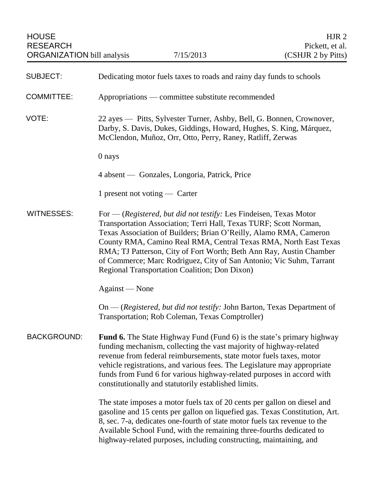| <b>HOUSE</b><br><b>RESEARCH</b><br><b>ORGANIZATION</b> bill analysis |                                                                                                                                                                                                                                                                                                                                                                                                                                         | 7/15/2013                                                                                                                                                                                                                                                                                                                                                                                                   | HJR <sub>2</sub><br>Pickett, et al.<br>(CSHJR 2 by Pitts)                   |  |  |
|----------------------------------------------------------------------|-----------------------------------------------------------------------------------------------------------------------------------------------------------------------------------------------------------------------------------------------------------------------------------------------------------------------------------------------------------------------------------------------------------------------------------------|-------------------------------------------------------------------------------------------------------------------------------------------------------------------------------------------------------------------------------------------------------------------------------------------------------------------------------------------------------------------------------------------------------------|-----------------------------------------------------------------------------|--|--|
| <b>SUBJECT:</b>                                                      |                                                                                                                                                                                                                                                                                                                                                                                                                                         |                                                                                                                                                                                                                                                                                                                                                                                                             | Dedicating motor fuels taxes to roads and rainy day funds to schools        |  |  |
| <b>COMMITTEE:</b>                                                    | Appropriations — committee substitute recommended                                                                                                                                                                                                                                                                                                                                                                                       |                                                                                                                                                                                                                                                                                                                                                                                                             |                                                                             |  |  |
| VOTE:                                                                | 22 ayes — Pitts, Sylvester Turner, Ashby, Bell, G. Bonnen, Crownover,<br>Darby, S. Davis, Dukes, Giddings, Howard, Hughes, S. King, Márquez,<br>McClendon, Muñoz, Orr, Otto, Perry, Raney, Ratliff, Zerwas                                                                                                                                                                                                                              |                                                                                                                                                                                                                                                                                                                                                                                                             |                                                                             |  |  |
|                                                                      | 0 nays                                                                                                                                                                                                                                                                                                                                                                                                                                  |                                                                                                                                                                                                                                                                                                                                                                                                             |                                                                             |  |  |
|                                                                      | 4 absent — Gonzales, Longoria, Patrick, Price                                                                                                                                                                                                                                                                                                                                                                                           |                                                                                                                                                                                                                                                                                                                                                                                                             |                                                                             |  |  |
|                                                                      | 1 present not voting — Carter                                                                                                                                                                                                                                                                                                                                                                                                           |                                                                                                                                                                                                                                                                                                                                                                                                             |                                                                             |  |  |
| <b>WITNESSES:</b>                                                    |                                                                                                                                                                                                                                                                                                                                                                                                                                         | For — (Registered, but did not testify: Les Findeisen, Texas Motor<br>Transportation Association; Terri Hall, Texas TURF; Scott Norman,<br>Texas Association of Builders; Brian O'Reilly, Alamo RMA, Cameron<br>RMA; TJ Patterson, City of Fort Worth; Beth Ann Ray, Austin Chamber<br>of Commerce; Marc Rodriguez, City of San Antonio; Vic Suhm, Tarrant<br>Regional Transportation Coalition; Don Dixon) | County RMA, Camino Real RMA, Central Texas RMA, North East Texas            |  |  |
|                                                                      | Against — None                                                                                                                                                                                                                                                                                                                                                                                                                          |                                                                                                                                                                                                                                                                                                                                                                                                             |                                                                             |  |  |
|                                                                      |                                                                                                                                                                                                                                                                                                                                                                                                                                         | On — (Registered, but did not testify: John Barton, Texas Department of<br>Transportation; Rob Coleman, Texas Comptroller)                                                                                                                                                                                                                                                                                  |                                                                             |  |  |
| <b>BACKGROUND:</b>                                                   | <b>Fund 6.</b> The State Highway Fund (Fund 6) is the state's primary highway<br>funding mechanism, collecting the vast majority of highway-related<br>revenue from federal reimbursements, state motor fuels taxes, motor<br>vehicle registrations, and various fees. The Legislature may appropriate<br>funds from Fund 6 for various highway-related purposes in accord with<br>constitutionally and statutorily established limits. |                                                                                                                                                                                                                                                                                                                                                                                                             |                                                                             |  |  |
|                                                                      |                                                                                                                                                                                                                                                                                                                                                                                                                                         | The state imposes a motor fuels tax of 20 cents per gallon on diesel and<br>8, sec. 7-a, dedicates one-fourth of state motor fuels tax revenue to the<br>Available School Fund, with the remaining three-fourths dedicated to<br>highway-related purposes, including constructing, maintaining, and                                                                                                         | gasoline and 15 cents per gallon on liquefied gas. Texas Constitution, Art. |  |  |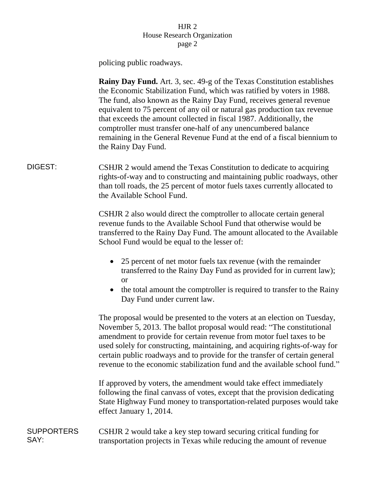policing public roadways.

|                           | <b>Rainy Day Fund.</b> Art. 3, sec. 49-g of the Texas Constitution establishes<br>the Economic Stabilization Fund, which was ratified by voters in 1988.<br>The fund, also known as the Rainy Day Fund, receives general revenue<br>equivalent to 75 percent of any oil or natural gas production tax revenue<br>that exceeds the amount collected in fiscal 1987. Additionally, the<br>comptroller must transfer one-half of any unencumbered balance<br>remaining in the General Revenue Fund at the end of a fiscal biennium to<br>the Rainy Day Fund. |  |  |
|---------------------------|-----------------------------------------------------------------------------------------------------------------------------------------------------------------------------------------------------------------------------------------------------------------------------------------------------------------------------------------------------------------------------------------------------------------------------------------------------------------------------------------------------------------------------------------------------------|--|--|
| DIGEST:                   | CSHJR 2 would amend the Texas Constitution to dedicate to acquiring<br>rights-of-way and to constructing and maintaining public roadways, other<br>than toll roads, the 25 percent of motor fuels taxes currently allocated to<br>the Available School Fund.                                                                                                                                                                                                                                                                                              |  |  |
|                           | CSHJR 2 also would direct the comptroller to allocate certain general<br>revenue funds to the Available School Fund that otherwise would be<br>transferred to the Rainy Day Fund. The amount allocated to the Available<br>School Fund would be equal to the lesser of:                                                                                                                                                                                                                                                                                   |  |  |
|                           | 25 percent of net motor fuels tax revenue (with the remainder<br>transferred to the Rainy Day Fund as provided for in current law);<br><b>or</b><br>the total amount the comptroller is required to transfer to the Rainy<br>$\bullet$<br>Day Fund under current law.                                                                                                                                                                                                                                                                                     |  |  |
|                           | The proposal would be presented to the voters at an election on Tuesday,<br>November 5, 2013. The ballot proposal would read: "The constitutional<br>amendment to provide for certain revenue from motor fuel taxes to be<br>used solely for constructing, maintaining, and acquiring rights-of-way for<br>certain public roadways and to provide for the transfer of certain general<br>revenue to the economic stabilization fund and the available school fund."                                                                                       |  |  |
|                           | If approved by voters, the amendment would take effect immediately<br>following the final canvass of votes, except that the provision dedicating<br>State Highway Fund money to transportation-related purposes would take<br>effect January 1, 2014.                                                                                                                                                                                                                                                                                                     |  |  |
| <b>SUPPORTERS</b><br>SAY: | CSHJR 2 would take a key step toward securing critical funding for<br>transportation projects in Texas while reducing the amount of revenue                                                                                                                                                                                                                                                                                                                                                                                                               |  |  |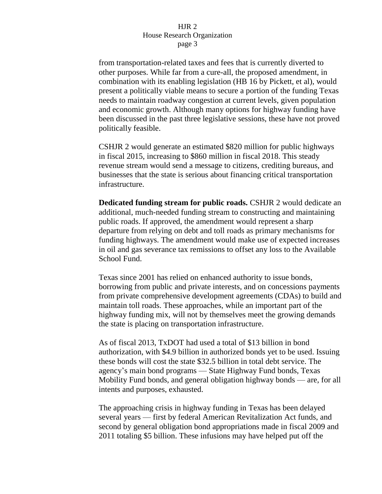from transportation-related taxes and fees that is currently diverted to other purposes. While far from a cure-all, the proposed amendment, in combination with its enabling legislation (HB 16 by Pickett, et al), would present a politically viable means to secure a portion of the funding Texas needs to maintain roadway congestion at current levels, given population and economic growth. Although many options for highway funding have been discussed in the past three legislative sessions, these have not proved politically feasible.

CSHJR 2 would generate an estimated \$820 million for public highways in fiscal 2015, increasing to \$860 million in fiscal 2018. This steady revenue stream would send a message to citizens, crediting bureaus, and businesses that the state is serious about financing critical transportation infrastructure.

**Dedicated funding stream for public roads.** CSHJR 2 would dedicate an additional, much-needed funding stream to constructing and maintaining public roads. If approved, the amendment would represent a sharp departure from relying on debt and toll roads as primary mechanisms for funding highways. The amendment would make use of expected increases in oil and gas severance tax remissions to offset any loss to the Available School Fund.

Texas since 2001 has relied on enhanced authority to issue bonds, borrowing from public and private interests, and on concessions payments from private comprehensive development agreements (CDAs) to build and maintain toll roads. These approaches, while an important part of the highway funding mix, will not by themselves meet the growing demands the state is placing on transportation infrastructure.

As of fiscal 2013, TxDOT had used a total of \$13 billion in bond authorization, with \$4.9 billion in authorized bonds yet to be used. Issuing these bonds will cost the state \$32.5 billion in total debt service. The agency's main bond programs — State Highway Fund bonds, Texas Mobility Fund bonds, and general obligation highway bonds — are, for all intents and purposes, exhausted.

The approaching crisis in highway funding in Texas has been delayed several years — first by federal American Revitalization Act funds, and second by general obligation bond appropriations made in fiscal 2009 and 2011 totaling \$5 billion. These infusions may have helped put off the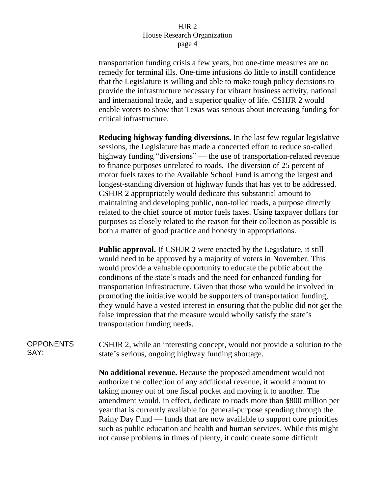transportation funding crisis a few years, but one-time measures are no remedy for terminal ills. One-time infusions do little to instill confidence that the Legislature is willing and able to make tough policy decisions to provide the infrastructure necessary for vibrant business activity, national and international trade, and a superior quality of life. CSHJR 2 would enable voters to show that Texas was serious about increasing funding for critical infrastructure.

**Reducing highway funding diversions.** In the last few regular legislative sessions, the Legislature has made a concerted effort to reduce so-called highway funding "diversions" — the use of transportation-related revenue to finance purposes unrelated to roads. The diversion of 25 percent of motor fuels taxes to the Available School Fund is among the largest and longest-standing diversion of highway funds that has yet to be addressed. CSHJR 2 appropriately would dedicate this substantial amount to maintaining and developing public, non-tolled roads, a purpose directly related to the chief source of motor fuels taxes. Using taxpayer dollars for purposes as closely related to the reason for their collection as possible is both a matter of good practice and honesty in appropriations.

**Public approval.** If CSHJR 2 were enacted by the Legislature, it still would need to be approved by a majority of voters in November. This would provide a valuable opportunity to educate the public about the conditions of the state's roads and the need for enhanced funding for transportation infrastructure. Given that those who would be involved in promoting the initiative would be supporters of transportation funding, they would have a vested interest in ensuring that the public did not get the false impression that the measure would wholly satisfy the state's transportation funding needs.

**OPPONENTS** SAY: CSHJR 2, while an interesting concept, would not provide a solution to the state's serious, ongoing highway funding shortage.

> **No additional revenue.** Because the proposed amendment would not authorize the collection of any additional revenue, it would amount to taking money out of one fiscal pocket and moving it to another. The amendment would, in effect, dedicate to roads more than \$800 million per year that is currently available for general-purpose spending through the Rainy Day Fund — funds that are now available to support core priorities such as public education and health and human services. While this might not cause problems in times of plenty, it could create some difficult